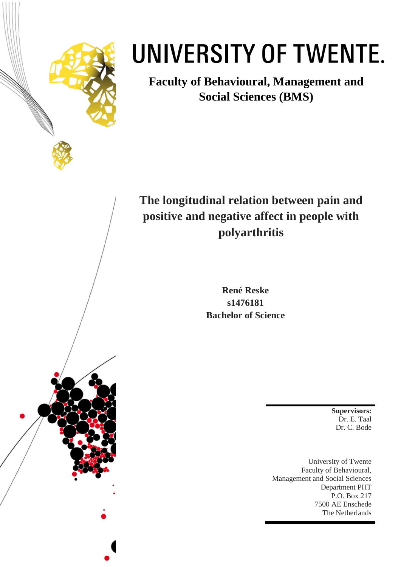

# UNIVERSITY OF TWENTE.

**Faculty of Behavioural, Management and Social Sciences (BMS)**

# **The longitudinal relation between pain and positive and negative affect in people with polyarthritis**

**René Reske s1476181 Bachelor of Science**

> **Supervisors:** Dr. E. Taal Dr. C. Bode

University of Twente Faculty of Behavioural, Management and Social Sciences Department PHT P.O. Box 217 7500 AE Enschede The Netherlands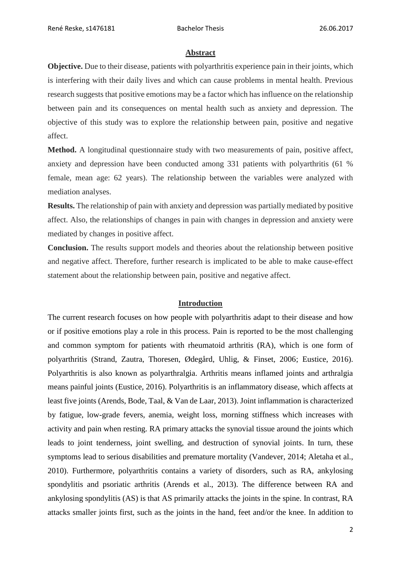#### **Abstract**

**Objective.** Due to their disease, patients with polyarthritis experience pain in their joints, which is interfering with their daily lives and which can cause problems in mental health. Previous research suggests that positive emotions may be a factor which has influence on the relationship between pain and its consequences on mental health such as anxiety and depression. The objective of this study was to explore the relationship between pain, positive and negative affect.

**Method.** A longitudinal questionnaire study with two measurements of pain, positive affect, anxiety and depression have been conducted among 331 patients with polyarthritis (61 % female, mean age: 62 years). The relationship between the variables were analyzed with mediation analyses.

**Results.** The relationship of pain with anxiety and depression was partially mediated by positive affect. Also, the relationships of changes in pain with changes in depression and anxiety were mediated by changes in positive affect.

**Conclusion.** The results support models and theories about the relationship between positive and negative affect. Therefore, further research is implicated to be able to make cause-effect statement about the relationship between pain, positive and negative affect.

### **Introduction**

The current research focuses on how people with polyarthritis adapt to their disease and how or if positive emotions play a role in this process. Pain is reported to be the most challenging and common symptom for patients with rheumatoid arthritis (RA), which is one form of polyarthritis (Strand, Zautra, Thoresen, Ødegård, Uhlig, & Finset, 2006; Eustice, 2016). Polyarthritis is also known as polyarthralgia. Arthritis means inflamed joints and arthralgia means painful joints (Eustice, 2016). Polyarthritis is an inflammatory disease, which affects at least five joints (Arends, Bode, Taal, & Van de Laar, 2013). Joint inflammation is characterized by fatigue, low-grade fevers, anemia, weight loss, morning stiffness which increases with activity and pain when resting. RA primary attacks the synovial tissue around the joints which leads to joint tenderness, joint swelling, and destruction of synovial joints. In turn, these symptoms lead to serious disabilities and premature mortality (Vandever, 2014; Aletaha et al., 2010). Furthermore, polyarthritis contains a variety of disorders, such as RA, ankylosing spondylitis and psoriatic arthritis (Arends et al., 2013). The difference between RA and ankylosing spondylitis (AS) is that AS primarily attacks the joints in the spine. In contrast, RA attacks smaller joints first, such as the joints in the hand, feet and/or the knee. In addition to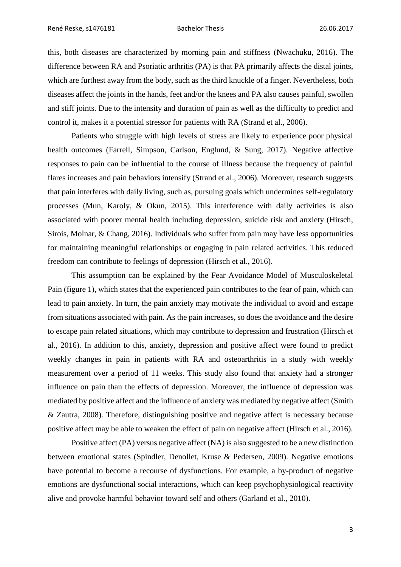this, both diseases are characterized by morning pain and stiffness (Nwachuku, 2016). The difference between RA and Psoriatic arthritis (PA) is that PA primarily affects the distal joints, which are furthest away from the body, such as the third knuckle of a finger. Nevertheless, both diseases affect the joints in the hands, feet and/or the knees and PA also causes painful, swollen and stiff joints. Due to the intensity and duration of pain as well as the difficulty to predict and control it, makes it a potential stressor for patients with RA (Strand et al., 2006).

Patients who struggle with high levels of stress are likely to experience poor physical health outcomes (Farrell, Simpson, Carlson, Englund, & Sung, 2017). Negative affective responses to pain can be influential to the course of illness because the frequency of painful flares increases and pain behaviors intensify (Strand et al., 2006). Moreover, research suggests that pain interferes with daily living, such as, pursuing goals which undermines self-regulatory processes (Mun, Karoly, & Okun, 2015). This interference with daily activities is also associated with poorer mental health including depression, suicide risk and anxiety (Hirsch, Sirois, Molnar, & Chang, 2016). Individuals who suffer from pain may have less opportunities for maintaining meaningful relationships or engaging in pain related activities. This reduced freedom can contribute to feelings of depression (Hirsch et al., 2016).

This assumption can be explained by the Fear Avoidance Model of Musculoskeletal Pain (figure 1), which states that the experienced pain contributes to the fear of pain, which can lead to pain anxiety. In turn, the pain anxiety may motivate the individual to avoid and escape from situations associated with pain. As the pain increases, so does the avoidance and the desire to escape pain related situations, which may contribute to depression and frustration (Hirsch et al., 2016). In addition to this, anxiety, depression and positive affect were found to predict weekly changes in pain in patients with RA and osteoarthritis in a study with weekly measurement over a period of 11 weeks. This study also found that anxiety had a stronger influence on pain than the effects of depression. Moreover, the influence of depression was mediated by positive affect and the influence of anxiety was mediated by negative affect (Smith & Zautra, 2008). Therefore, distinguishing positive and negative affect is necessary because positive affect may be able to weaken the effect of pain on negative affect (Hirsch et al., 2016).

Positive affect (PA) versus negative affect (NA) is also suggested to be a new distinction between emotional states (Spindler, Denollet, Kruse & Pedersen, 2009). Negative emotions have potential to become a recourse of dysfunctions. For example, a by-product of negative emotions are dysfunctional social interactions, which can keep psychophysiological reactivity alive and provoke harmful behavior toward self and others (Garland et al., 2010).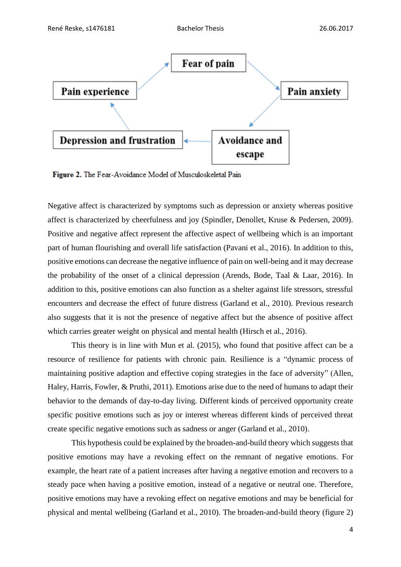

Figure 2. The Fear-Avoidance Model of Musculoskeletal Pain

Negative affect is characterized by symptoms such as depression or anxiety whereas positive affect is characterized by cheerfulness and joy (Spindler, Denollet, Kruse & Pedersen, 2009). Positive and negative affect represent the affective aspect of wellbeing which is an important part of human flourishing and overall life satisfaction (Pavani et al., 2016). In addition to this, positive emotions can decrease the negative influence of pain on well-being and it may decrease the probability of the onset of a clinical depression (Arends, Bode, Taal & Laar, 2016). In addition to this, positive emotions can also function as a shelter against life stressors, stressful encounters and decrease the effect of future distress (Garland et al., 2010). Previous research also suggests that it is not the presence of negative affect but the absence of positive affect which carries greater weight on physical and mental health (Hirsch et al., 2016).

This theory is in line with Mun et al. (2015), who found that positive affect can be a resource of resilience for patients with chronic pain. Resilience is a "dynamic process of maintaining positive adaption and effective coping strategies in the face of adversity" (Allen, Haley, Harris, Fowler, & Pruthi, 2011). Emotions arise due to the need of humans to adapt their behavior to the demands of day-to-day living. Different kinds of perceived opportunity create specific positive emotions such as joy or interest whereas different kinds of perceived threat create specific negative emotions such as sadness or anger (Garland et al., 2010).

This hypothesis could be explained by the broaden-and-build theory which suggests that positive emotions may have a revoking effect on the remnant of negative emotions. For example, the heart rate of a patient increases after having a negative emotion and recovers to a steady pace when having a positive emotion, instead of a negative or neutral one. Therefore, positive emotions may have a revoking effect on negative emotions and may be beneficial for physical and mental wellbeing (Garland et al., 2010). The broaden-and-build theory (figure 2)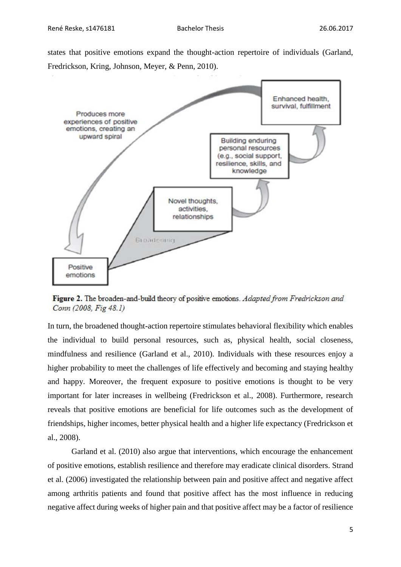states that positive emotions expand the thought-action repertoire of individuals (Garland, Fredrickson, Kring, Johnson, Meyer, & Penn, 2010).



Figure 2. The broaden-and-build theory of positive emotions. Adapted from Fredrickson and Conn (2008, Fig 48.1)

In turn, the broadened thought-action repertoire stimulates behavioral flexibility which enables the individual to build personal resources, such as, physical health, social closeness, mindfulness and resilience (Garland et al., 2010). Individuals with these resources enjoy a higher probability to meet the challenges of life effectively and becoming and staying healthy and happy. Moreover, the frequent exposure to positive emotions is thought to be very important for later increases in wellbeing (Fredrickson et al., 2008). Furthermore, research reveals that positive emotions are beneficial for life outcomes such as the development of friendships, higher incomes, better physical health and a higher life expectancy (Fredrickson et al., 2008).

Garland et al. (2010) also argue that interventions, which encourage the enhancement of positive emotions, establish resilience and therefore may eradicate clinical disorders. Strand et al. (2006) investigated the relationship between pain and positive affect and negative affect among arthritis patients and found that positive affect has the most influence in reducing negative affect during weeks of higher pain and that positive affect may be a factor of resilience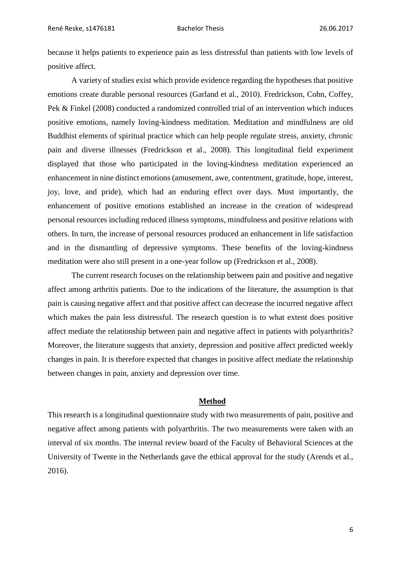because it helps patients to experience pain as less distressful than patients with low levels of positive affect.

A variety of studies exist which provide evidence regarding the hypotheses that positive emotions create durable personal resources (Garland et al., 2010). Fredrickson, Cohn, Coffey, Pek & Finkel (2008) conducted a randomized controlled trial of an intervention which induces positive emotions, namely loving-kindness meditation. Meditation and mindfulness are old Buddhist elements of spiritual practice which can help people regulate stress, anxiety, chronic pain and diverse illnesses (Fredrickson et al., 2008). This longitudinal field experiment displayed that those who participated in the loving-kindness meditation experienced an enhancement in nine distinct emotions (amusement, awe, contentment, gratitude, hope, interest, joy, love, and pride), which had an enduring effect over days. Most importantly, the enhancement of positive emotions established an increase in the creation of widespread personal resources including reduced illness symptoms, mindfulness and positive relations with others. In turn, the increase of personal resources produced an enhancement in life satisfaction and in the dismantling of depressive symptoms. These benefits of the loving-kindness meditation were also still present in a one-year follow up (Fredrickson et al., 2008).

The current research focuses on the relationship between pain and positive and negative affect among arthritis patients. Due to the indications of the literature, the assumption is that pain is causing negative affect and that positive affect can decrease the incurred negative affect which makes the pain less distressful. The research question is to what extent does positive affect mediate the relationship between pain and negative affect in patients with polyarthritis? Moreover, the literature suggests that anxiety, depression and positive affect predicted weekly changes in pain. It is therefore expected that changes in positive affect mediate the relationship between changes in pain, anxiety and depression over time.

#### **Method**

This research is a longitudinal questionnaire study with two measurements of pain, positive and negative affect among patients with polyarthritis. The two measurements were taken with an interval of six months. The internal review board of the Faculty of Behavioral Sciences at the University of Twente in the Netherlands gave the ethical approval for the study (Arends et al., 2016).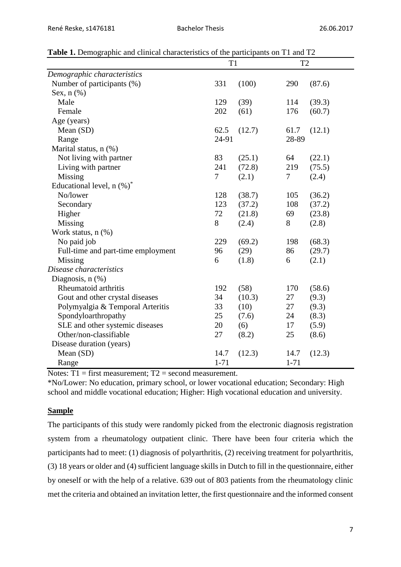|                                    | T <sub>1</sub> |        | T <sub>2</sub> |        |  |
|------------------------------------|----------------|--------|----------------|--------|--|
| Demographic characteristics        |                |        |                |        |  |
| Number of participants (%)         | 331            | (100)  | 290            | (87.6) |  |
| Sex, $n$ $(\%)$                    |                |        |                |        |  |
| Male                               | 129            | (39)   | 114            | (39.3) |  |
| Female                             | 202            | (61)   | 176            | (60.7) |  |
| Age (years)                        |                |        |                |        |  |
| Mean (SD)                          | 62.5           | (12.7) | 61.7           | (12.1) |  |
| Range                              | 24-91          |        | 28-89          |        |  |
| Marital status, n (%)              |                |        |                |        |  |
| Not living with partner            | 83             | (25.1) | 64             | (22.1) |  |
| Living with partner                | 241            | (72.8) | 219            | (75.5) |  |
| Missing                            | 7              | (2.1)  | 7              | (2.4)  |  |
| Educational level, $n$ $(\%)^*$    |                |        |                |        |  |
| No/lower                           | 128            | (38.7) | 105            | (36.2) |  |
| Secondary                          | 123            | (37.2) | 108            | (37.2) |  |
| Higher                             | 72             | (21.8) | 69             | (23.8) |  |
| Missing                            | 8              | (2.4)  | 8              | (2.8)  |  |
| Work status, n (%)                 |                |        |                |        |  |
| No paid job                        | 229            | (69.2) | 198            | (68.3) |  |
| Full-time and part-time employment | 96             | (29)   | 86             | (29.7) |  |
| Missing                            | 6              | (1.8)  | 6              | (2.1)  |  |
| Disease characteristics            |                |        |                |        |  |
| Diagnosis, $n$ $(\%)$              |                |        |                |        |  |
| Rheumatoid arthritis               | 192            | (58)   | 170            | (58.6) |  |
| Gout and other crystal diseases    | 34             | (10.3) | 27             | (9.3)  |  |
| Polymyalgia & Temporal Arteritis   | 33             | (10)   | 27             | (9.3)  |  |
| Spondyloarthropathy                | 25             | (7.6)  | 24             | (8.3)  |  |
| SLE and other systemic diseases    | 20             | (6)    | 17             | (5.9)  |  |
| Other/non-classifiable             | 27             | (8.2)  | 25             | (8.6)  |  |
| Disease duration (years)           |                |        |                |        |  |
| Mean (SD)                          | 14.7           | (12.3) | 14.7           | (12.3) |  |
| Range                              | $1 - 71$       |        | $1 - 71$       |        |  |

**Table 1.** Demographic and clinical characteristics of the participants on T1 and T2

Notes:  $T1 =$  first measurement;  $T2 =$  second measurement.

\*No/Lower: No education, primary school, or lower vocational education; Secondary: High school and middle vocational education; Higher: High vocational education and university.

# **Sample**

The participants of this study were randomly picked from the electronic diagnosis registration system from a rheumatology outpatient clinic. There have been four criteria which the participants had to meet: (1) diagnosis of polyarthritis, (2) receiving treatment for polyarthritis, (3) 18 years or older and (4) sufficient language skills in Dutch to fill in the questionnaire, either by oneself or with the help of a relative. 639 out of 803 patients from the rheumatology clinic met the criteria and obtained an invitation letter, the first questionnaire and the informed consent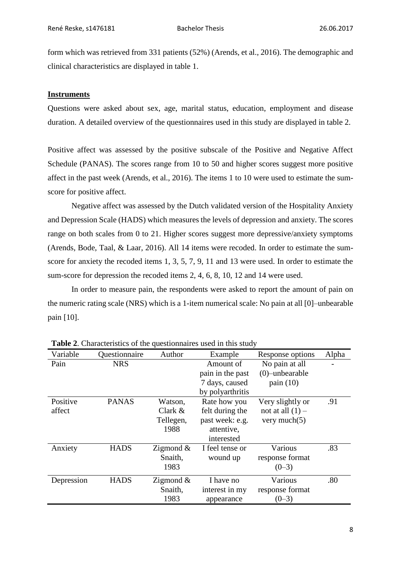form which was retrieved from 331 patients (52%) (Arends, et al., 2016). The demographic and clinical characteristics are displayed in table 1.

# **Instruments**

Questions were asked about sex, age, marital status, education, employment and disease duration. A detailed overview of the questionnaires used in this study are displayed in table 2.

Positive affect was assessed by the positive subscale of the Positive and Negative Affect Schedule (PANAS). The scores range from 10 to 50 and higher scores suggest more positive affect in the past week (Arends, et al., 2016). The items 1 to 10 were used to estimate the sumscore for positive affect.

Negative affect was assessed by the Dutch validated version of the Hospitality Anxiety and Depression Scale (HADS) which measures the levels of depression and anxiety. The scores range on both scales from 0 to 21. Higher scores suggest more depressive/anxiety symptoms (Arends, Bode, Taal, & Laar, 2016). All 14 items were recoded. In order to estimate the sumscore for anxiety the recoded items 1, 3, 5, 7, 9, 11 and 13 were used. In order to estimate the sum-score for depression the recoded items 2, 4, 6, 8, 10, 12 and 14 were used.

In order to measure pain, the respondents were asked to report the amount of pain on the numeric rating scale (NRS) which is a 1-item numerical scale: No pain at all [0]–unbearable pain [10].

| Variable   | Questionnaire | Author       | Example          | Response options   | Alpha |
|------------|---------------|--------------|------------------|--------------------|-------|
| Pain       | <b>NRS</b>    |              | Amount of        | No pain at all     |       |
|            |               |              | pain in the past | $(0)$ -unbearable  |       |
|            |               |              | 7 days, caused   | pain $(10)$        |       |
|            |               |              | by polyarthritis |                    |       |
| Positive   | <b>PANAS</b>  | Watson,      | Rate how you     | Very slightly or   | .91   |
| affect     |               | Clark $&$    | felt during the  | not at all $(1)$ – |       |
|            |               | Tellegen,    | past week: e.g.  | very much $(5)$    |       |
|            |               | 1988         | attentive,       |                    |       |
|            |               |              | interested       |                    |       |
| Anxiety    | <b>HADS</b>   | Zigmond $\&$ | I feel tense or  | Various            | .83   |
|            |               | Snaith,      | wound up         | response format    |       |
|            |               | 1983         |                  | $(0-3)$            |       |
| Depression | <b>HADS</b>   | Zigmond $\&$ | I have no        | Various            | .80   |
|            |               | Snaith,      | interest in my   | response format    |       |
|            |               | 1983         | appearance       | $(0-3)$            |       |

**Table 2**. Characteristics of the questionnaires used in this study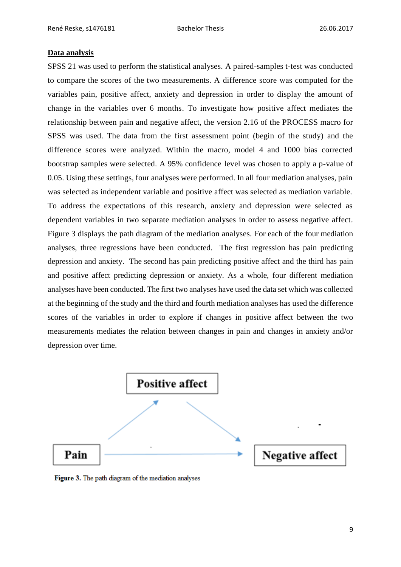#### **Data analysis**

SPSS 21 was used to perform the statistical analyses. A paired-samples t-test was conducted to compare the scores of the two measurements. A difference score was computed for the variables pain, positive affect, anxiety and depression in order to display the amount of change in the variables over 6 months. To investigate how positive affect mediates the relationship between pain and negative affect, the version 2.16 of the PROCESS macro for SPSS was used. The data from the first assessment point (begin of the study) and the difference scores were analyzed. Within the macro, model 4 and 1000 bias corrected bootstrap samples were selected. A 95% confidence level was chosen to apply a p-value of 0.05. Using these settings, four analyses were performed. In all four mediation analyses, pain was selected as independent variable and positive affect was selected as mediation variable. To address the expectations of this research, anxiety and depression were selected as dependent variables in two separate mediation analyses in order to assess negative affect. [Figure](https://www.nature.com/articles/srep20382#f1) 3 displays the path diagram of the mediation analyses. For each of the four mediation analyses, three regressions have been conducted. The first regression has pain predicting depression and anxiety. The second has pain predicting positive affect and the third has pain and positive affect predicting depression or anxiety. As a whole, four different mediation analyses have been conducted. The first two analyses have used the data set which was collected at the beginning of the study and the third and fourth mediation analyses has used the difference scores of the variables in order to explore if changes in positive affect between the two measurements mediates the relation between changes in pain and changes in anxiety and/or depression over time.



Figure 3. The path diagram of the mediation analyses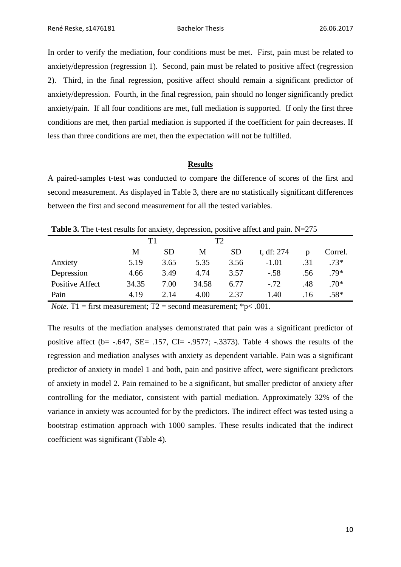In order to verify the mediation, four conditions must be met. First, pain must be related to anxiety/depression (regression 1). Second, pain must be related to positive affect (regression 2). Third, in the final regression, positive affect should remain a significant predictor of anxiety/depression. Fourth, in the final regression, pain should no longer significantly predict anxiety/pain. If all four conditions are met, full mediation is supported. If only the first three conditions are met, then partial mediation is supported if the coefficient for pain decreases. If less than three conditions are met, then the expectation will not be fulfilled.

#### **Results**

A paired-samples t-test was conducted to compare the difference of scores of the first and second measurement. As displayed in Table 3, there are no statistically significant differences between the first and second measurement for all the tested variables.

**Table 3.** The t-test results for anxiety, depression, positive affect and pain. N=275

|                        | T1    |           | T2    |           |            |     |         |
|------------------------|-------|-----------|-------|-----------|------------|-----|---------|
|                        | М     | <b>SD</b> | M     | <b>SD</b> | t, df: 274 | p   | Correl. |
| Anxiety                | 5.19  | 3.65      | 5.35  | 3.56      | $-1.01$    | .31 | $.73*$  |
| Depression             | 4.66  | 3.49      | 4.74  | 3.57      | $-.58$     | .56 | $.79*$  |
| <b>Positive Affect</b> | 34.35 | 7.00      | 34.58 | 6.77      | $-.72$     | .48 | $.70*$  |
| Pain                   | 4.19  | 2.14      | 4.00  | 2.37      | 1.40       | .16 | $.58*$  |

*Note.* T1 = first measurement;  $T2$  = second measurement;  $*$  p< .001.

The results of the mediation analyses demonstrated that pain was a significant predictor of positive affect ( $b$ = -.647, SE= .157, CI= -.9577; -.3373). Table 4 shows the results of the regression and mediation analyses with anxiety as dependent variable. Pain was a significant predictor of anxiety in model 1 and both, pain and positive affect, were significant predictors of anxiety in model 2. Pain remained to be a significant, but smaller predictor of anxiety after controlling for the mediator, consistent with partial mediation. Approximately 32% of the variance in anxiety was accounted for by the predictors. The indirect effect was tested using a bootstrap estimation approach with 1000 samples. These results indicated that the indirect coefficient was significant (Table 4).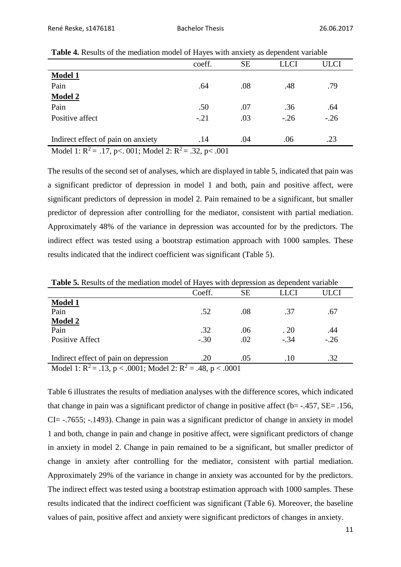|                                                             | coeff.     | <b>SE</b> | <b>LLCI</b> | ULCI   |
|-------------------------------------------------------------|------------|-----------|-------------|--------|
| <b>Model 1</b>                                              |            |           |             |        |
| Pain                                                        | .64        | .08       | .48         | .79    |
| <b>Model 2</b>                                              |            |           |             |        |
| Pain                                                        | .50        | .07       | .36         | .64    |
| Positive affect                                             | $-.21$     | .03       | $-.26$      | $-.26$ |
|                                                             |            |           |             |        |
| Indirect effect of pain on anxiety                          | .14        | .04       | .06         | .23    |
| $M_2$ del 1. $D^2$ = 17 $\approx 0.01$ . $M_2$ del 0. $D^2$ | $22 - 201$ |           |             |        |

**Table 4.** Results of the mediation model of Hayes with anxiety as dependent variable

Model 1:  $R^2 = .17$ , p<. 001; Model 2:  $R^2 = .32$ , p< .001

The results of the second set of analyses, which are displayed in table 5, indicated that pain was a significant predictor of depression in model 1 and both, pain and positive affect, were significant predictors of depression in model 2. Pain remained to be a significant, but smaller predictor of depression after controlling for the mediator, consistent with partial mediation. Approximately 48% of the variance in depression was accounted for by the predictors. The indirect effect was tested using a bootstrap estimation approach with 1000 samples. These results indicated that the indirect coefficient was significant (Table 5).

|                                                                                                    | Coeff. | <b>SE</b> | LLCI   | JLCI  |  |
|----------------------------------------------------------------------------------------------------|--------|-----------|--------|-------|--|
| <b>Model 1</b>                                                                                     |        |           |        |       |  |
| Pain                                                                                               | .52    | .08       | .37    | .67   |  |
| <b>Model 2</b>                                                                                     |        |           |        |       |  |
| Pain                                                                                               | .32    | .06       | .20    | .44   |  |
| <b>Positive Affect</b>                                                                             | $-.30$ | .02       | $-.34$ | $-26$ |  |
|                                                                                                    |        |           |        |       |  |
| Indirect effect of pain on depression                                                              | .20    | .05       | .10    | .32   |  |
| $\mathbf{M}_{\odot}$ del 1, $\mathbf{D}^2 = 12$ m < 0001, Medel 2, $\mathbf{D}^2 =$<br>$10 - 2001$ |        |           |        |       |  |

Model 1:  $R^2 = .13$ ,  $p < .0001$ ; Model 2:  $R^2 = .48$ ,  $p < .0001$ 

Table 6 illustrates the results of mediation analyses with the difference scores, which indicated that change in pain was a significant predictor of change in positive affect ( $b$ = -.457, SE= .156, CI= -.7655; -.1493). Change in pain was a significant predictor of change in anxiety in model 1 and both, change in pain and change in positive affect, were significant predictors of change in anxiety in model 2. Change in pain remained to be a significant, but smaller predictor of change in anxiety after controlling for the mediator, consistent with partial mediation. Approximately 29% of the variance in change in anxiety was accounted for by the predictors. The indirect effect was tested using a bootstrap estimation approach with 1000 samples. These results indicated that the indirect coefficient was significant (Table 6). Moreover, the baseline values of pain, positive affect and anxiety were significant predictors of changes in anxiety.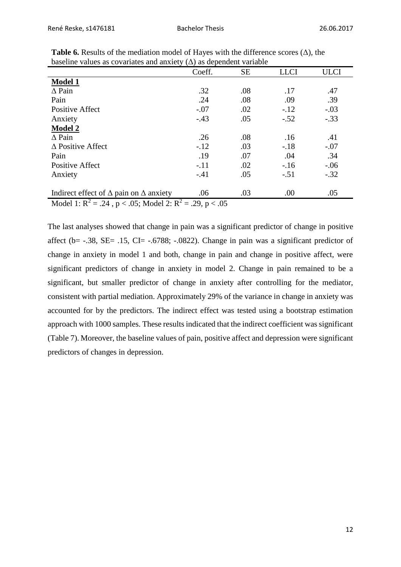|                                                                     | Coeff. | <b>SE</b> | <b>LLCI</b> | <b>ULCI</b> |  |
|---------------------------------------------------------------------|--------|-----------|-------------|-------------|--|
| <b>Model 1</b>                                                      |        |           |             |             |  |
| $\Delta$ Pain                                                       | .32    | .08       | .17         | .47         |  |
| Pain                                                                | .24    | .08       | .09         | .39         |  |
| <b>Positive Affect</b>                                              | $-.07$ | .02       | $-.12$      | $-.03$      |  |
| Anxiety                                                             | $-.43$ | .05       | $-.52$      | $-.33$      |  |
| <b>Model 2</b>                                                      |        |           |             |             |  |
| $\triangle$ Pain                                                    | .26    | .08       | .16         | .41         |  |
| $\triangle$ Positive Affect                                         | $-.12$ | .03       | $-.18$      | $-.07$      |  |
| Pain                                                                | .19    | .07       | .04         | .34         |  |
| <b>Positive Affect</b>                                              | $-.11$ | .02       | $-16$       | $-.06$      |  |
| Anxiety                                                             | $-.41$ | .05       | $-.51$      | $-.32$      |  |
| Indirect effect of $\Delta$ pain on $\Delta$ anxiety                | .06    | .03       | .00         | .05         |  |
| Model 1: $R^2 = .24$ , $p < .05$ ; Model 2: $R^2 = .29$ , $p < .05$ |        |           |             |             |  |

**Table 6.** Results of the mediation model of Hayes with the difference scores  $(\Delta)$ , the baseline values as covariates and anxiety  $(\Delta)$  as dependent variable

The last analyses showed that change in pain was a significant predictor of change in positive affect (b=  $-.38$ , SE=  $.15$ , CI=  $-.6788$ ;  $-.0822$ ). Change in pain was a significant predictor of change in anxiety in model 1 and both, change in pain and change in positive affect, were significant predictors of change in anxiety in model 2. Change in pain remained to be a significant, but smaller predictor of change in anxiety after controlling for the mediator, consistent with partial mediation. Approximately 29% of the variance in change in anxiety was accounted for by the predictors. The indirect effect was tested using a bootstrap estimation approach with 1000 samples. These results indicated that the indirect coefficient was significant (Table 7). Moreover, the baseline values of pain, positive affect and depression were significant predictors of changes in depression.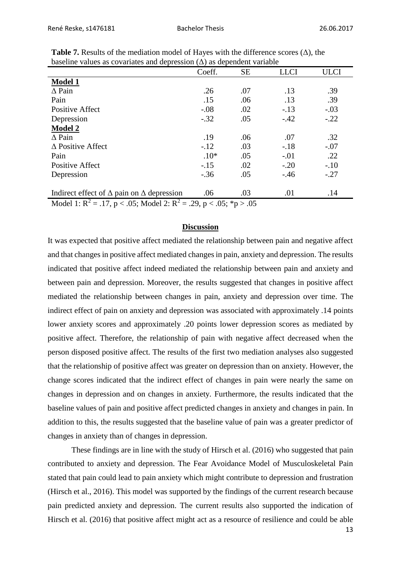|                                                                                | Coeff. | <b>SE</b> | <b>LLCI</b> | <b>ULCI</b> |  |
|--------------------------------------------------------------------------------|--------|-----------|-------------|-------------|--|
| <b>Model 1</b>                                                                 |        |           |             |             |  |
| $\triangle$ Pain                                                               | .26    | .07       | .13         | .39         |  |
| Pain                                                                           | .15    | .06       | .13         | .39         |  |
| <b>Positive Affect</b>                                                         | $-.08$ | .02       | $-.13$      | $-.03$      |  |
| Depression                                                                     | $-.32$ | .05       | $-.42$      | $-.22$      |  |
| <b>Model 2</b>                                                                 |        |           |             |             |  |
| $\triangle$ Pain                                                               | .19    | .06       | .07         | .32         |  |
| $\triangle$ Positive Affect                                                    | $-.12$ | .03       | $-.18$      | $-.07$      |  |
| Pain                                                                           | $.10*$ | .05       | $-.01$      | .22         |  |
| <b>Positive Affect</b>                                                         | $-.15$ | .02       | $-.20$      | $-.10$      |  |
| Depression                                                                     | $-.36$ | .05       | $-.46$      | $-.27$      |  |
|                                                                                |        |           |             |             |  |
| Indirect effect of $\Delta$ pain on $\Delta$ depression                        | .06    | .03       | .01         | .14         |  |
| Model 1: $R^2 = .17$ , $p < .05$ ; Model 2: $R^2 = .29$ , $p < .05$ ; *p > .05 |        |           |             |             |  |

**Table 7.** Results of the mediation model of Hayes with the difference scores  $(\Delta)$ , the baseline values as covariates and depression  $(\Delta)$  as dependent variable

#### **Discussion**

It was expected that positive affect mediated the relationship between pain and negative affect and that changes in positive affect mediated changes in pain, anxiety and depression. The results indicated that positive affect indeed mediated the relationship between pain and anxiety and between pain and depression. Moreover, the results suggested that changes in positive affect mediated the relationship between changes in pain, anxiety and depression over time. The indirect effect of pain on anxiety and depression was associated with approximately .14 points lower anxiety scores and approximately .20 points lower depression scores as mediated by positive affect. Therefore, the relationship of pain with negative affect decreased when the person disposed positive affect. The results of the first two mediation analyses also suggested that the relationship of positive affect was greater on depression than on anxiety. However, the change scores indicated that the indirect effect of changes in pain were nearly the same on changes in depression and on changes in anxiety. Furthermore, the results indicated that the baseline values of pain and positive affect predicted changes in anxiety and changes in pain. In addition to this, the results suggested that the baseline value of pain was a greater predictor of changes in anxiety than of changes in depression.

These findings are in line with the study of Hirsch et al. (2016) who suggested that pain contributed to anxiety and depression. The Fear Avoidance Model of Musculoskeletal Pain stated that pain could lead to pain anxiety which might contribute to depression and frustration (Hirsch et al., 2016). This model was supported by the findings of the current research because pain predicted anxiety and depression. The current results also supported the indication of Hirsch et al. (2016) that positive affect might act as a resource of resilience and could be able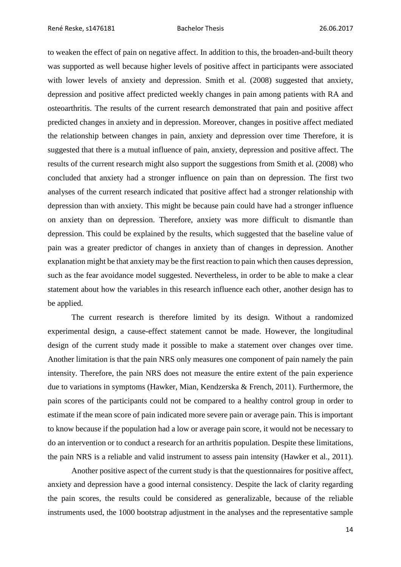René Reske, s1476181 **Bachelor Thesis** Bachelor Thesis 26.06.2017

to weaken the effect of pain on negative affect. In addition to this, the broaden-and-built theory was supported as well because higher levels of positive affect in participants were associated with lower levels of anxiety and depression. Smith et al. (2008) suggested that anxiety, depression and positive affect predicted weekly changes in pain among patients with RA and osteoarthritis. The results of the current research demonstrated that pain and positive affect predicted changes in anxiety and in depression. Moreover, changes in positive affect mediated the relationship between changes in pain, anxiety and depression over time Therefore, it is suggested that there is a mutual influence of pain, anxiety, depression and positive affect. The results of the current research might also support the suggestions from Smith et al. (2008) who concluded that anxiety had a stronger influence on pain than on depression. The first two analyses of the current research indicated that positive affect had a stronger relationship with depression than with anxiety. This might be because pain could have had a stronger influence on anxiety than on depression. Therefore, anxiety was more difficult to dismantle than depression. This could be explained by the results, which suggested that the baseline value of pain was a greater predictor of changes in anxiety than of changes in depression. Another explanation might be that anxiety may be the first reaction to pain which then causes depression, such as the fear avoidance model suggested. Nevertheless, in order to be able to make a clear statement about how the variables in this research influence each other, another design has to be applied.

The current research is therefore limited by its design. Without a randomized experimental design, a cause-effect statement cannot be made. However, the longitudinal design of the current study made it possible to make a statement over changes over time. Another limitation is that the pain NRS only measures one component of pain namely the pain intensity. Therefore, the pain NRS does not measure the entire extent of the pain experience due to variations in symptoms (Hawker, Mian, Kendzerska & French, 2011). Furthermore, the pain scores of the participants could not be compared to a healthy control group in order to estimate if the mean score of pain indicated more severe pain or average pain. This is important to know because if the population had a low or average pain score, it would not be necessary to do an intervention or to conduct a research for an arthritis population. Despite these limitations, the pain NRS is a reliable and valid instrument to assess pain intensity (Hawker et al., 2011).

Another positive aspect of the current study is that the questionnaires for positive affect, anxiety and depression have a good internal consistency. Despite the lack of clarity regarding the pain scores, the results could be considered as generalizable, because of the reliable instruments used, the 1000 bootstrap adjustment in the analyses and the representative sample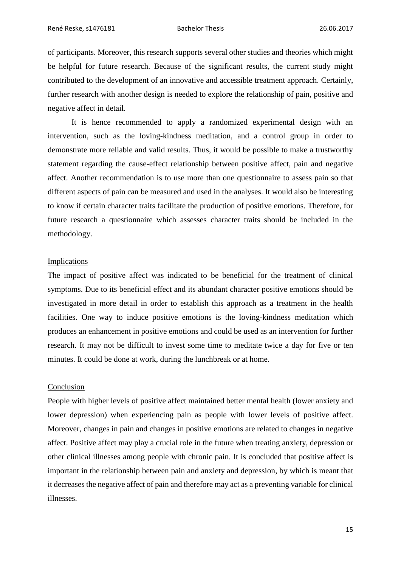of participants. Moreover, this research supports several other studies and theories which might be helpful for future research. Because of the significant results, the current study might contributed to the development of an innovative and accessible treatment approach. Certainly, further research with another design is needed to explore the relationship of pain, positive and negative affect in detail.

It is hence recommended to apply a randomized experimental design with an intervention, such as the loving-kindness meditation, and a control group in order to demonstrate more reliable and valid results. Thus, it would be possible to make a trustworthy statement regarding the cause-effect relationship between positive affect, pain and negative affect. Another recommendation is to use more than one questionnaire to assess pain so that different aspects of pain can be measured and used in the analyses. It would also be interesting to know if certain character traits facilitate the production of positive emotions. Therefore, for future research a questionnaire which assesses character traits should be included in the methodology.

#### Implications

The impact of positive affect was indicated to be beneficial for the treatment of clinical symptoms. Due to its beneficial effect and its abundant character positive emotions should be investigated in more detail in order to establish this approach as a treatment in the health facilities. One way to induce positive emotions is the loving-kindness meditation which produces an enhancement in positive emotions and could be used as an intervention for further research. It may not be difficult to invest some time to meditate twice a day for five or ten minutes. It could be done at work, during the lunchbreak or at home.

#### Conclusion

People with higher levels of positive affect maintained better mental health (lower anxiety and lower depression) when experiencing pain as people with lower levels of positive affect. Moreover, changes in pain and changes in positive emotions are related to changes in negative affect. Positive affect may play a crucial role in the future when treating anxiety, depression or other clinical illnesses among people with chronic pain. It is concluded that positive affect is important in the relationship between pain and anxiety and depression, by which is meant that it decreases the negative affect of pain and therefore may act as a preventing variable for clinical illnesses.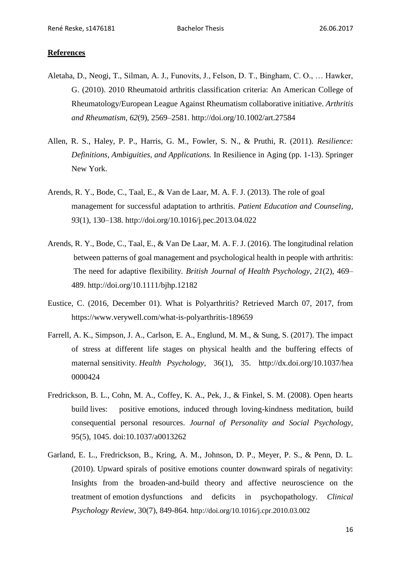### **References**

- Aletaha, D., Neogi, T., Silman, A. J., Funovits, J., Felson, D. T., Bingham, C. O., … Hawker, G. (2010). 2010 Rheumatoid arthritis classification criteria: An American College of Rheumatology/European League Against Rheumatism collaborative initiative. *Arthritis and Rheumatism*, *62*(9), 2569–2581.<http://doi.org/10.1002/art.27584>
- Allen, R. S., Haley, P. P., Harris, G. M., Fowler, S. N., & Pruthi, R. (2011). *Resilience: Definitions, Ambiguities, and Applications.* In Resilience in Aging (pp. 1-13). Springer New York.
- Arends, R. Y., Bode, C., Taal, E., & Van de Laar, M. A. F. J. (2013). The role of goal management for successful adaptation to arthritis. *Patient Education and Counseling*, *93*(1), 130–138.<http://doi.org/10.1016/j.pec.2013.04.022>
- Arends, R. Y., Bode, C., Taal, E., & Van De Laar, M. A. F. J. (2016). The longitudinal relation between patterns of goal management and psychological health in people with arthritis: The need for adaptive flexibility. *British Journal of Health Psychology*, *21*(2), 469– 489. http://doi.org/10.1111/bjhp.12182
- Eustice, C. (2016, December 01). What is Polyarthritis? Retrieved March 07, 2017, from https://www.verywell.com/what-is-polyarthritis-189659
- Farrell, A. K., Simpson, J. A., Carlson, E. A., Englund, M. M., & Sung, S. (2017). The impact of stress at different life stages on physical health and the buffering effects of maternal sensitivity. *Health Psychology*, 36(1), 35. http://dx.doi.org/10.1037/hea 0000424
- Fredrickson, B. L., Cohn, M. A., Coffey, K. A., Pek, J., & Finkel, S. M. (2008). Open hearts build lives: positive emotions, induced through loving-kindness meditation, build consequential personal resources. *Journal of Personality and Social Psychology*, 95(5), 1045. doi:10.1037/a0013262
- Garland, E. L., Fredrickson, B., Kring, A. M., Johnson, D. P., Meyer, P. S., & Penn, D. L. (2010). Upward spirals of positive emotions counter downward spirals of negativity: Insights from the broaden-and-build theory and affective neuroscience on the treatment of emotion dysfunctions and deficits in psychopathology. *Clinical Psychology Review*, 30(7), 849-864. http://doi.org/10.1016/j.cpr.2010.03.002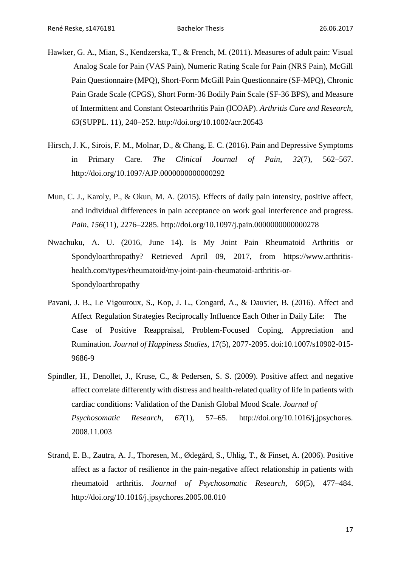- Hawker, G. A., Mian, S., Kendzerska, T., & French, M. (2011). Measures of adult pain: Visual Analog Scale for Pain (VAS Pain), Numeric Rating Scale for Pain (NRS Pain), McGill Pain Questionnaire (MPQ), Short-Form McGill Pain Questionnaire (SF-MPQ), Chronic Pain Grade Scale (CPGS), Short Form-36 Bodily Pain Scale (SF-36 BPS), and Measure of Intermittent and Constant Osteoarthritis Pain (ICOAP). *Arthritis Care and Research*, *63*(SUPPL. 11), 240–252.<http://doi.org/10.1002/acr.20543>
- Hirsch, J. K., Sirois, F. M., Molnar, D., & Chang, E. C. (2016). Pain and Depressive Symptoms in Primary Care. *The Clinical Journal of Pain*, *32*(7), 562–567. <http://doi.org/10.1097/AJP.0000000000000292>
- Mun, C. J., Karoly, P., & Okun, M. A. (2015). Effects of daily pain intensity, positive affect, and individual differences in pain acceptance on work goal interference and progress. *Pain*, *156*(11), 2276–2285.<http://doi.org/10.1097/j.pain.0000000000000278>
- Nwachuku, A. U. (2016, June 14). Is My Joint Pain Rheumatoid Arthritis or Spondyloarthropathy? Retrieved April 09, 2017, from [https://www.arthritis](https://www.arthritis-/)health.com/types/rheumatoid/my-joint-pain-rheumatoid-arthritis-or-Spondyloarthropathy
- Pavani, J. B., Le Vigouroux, S., Kop, J. L., Congard, A., & Dauvier, B. (2016). Affect and Affect Regulation Strategies Reciprocally Influence Each Other in Daily Life: The Case of Positive Reappraisal, Problem-Focused Coping, Appreciation and Rumination. *Journal of Happiness Studies*, 17(5), 2077-2095. doi:10.1007/s10902-015- 9686-9
- Spindler, H., Denollet, J., Kruse, C., & Pedersen, S. S. (2009). Positive affect and negative affect correlate differently with distress and health-related quality of life in patients with cardiac conditions: Validation of the Danish Global Mood Scale. *Journal of Psychosomatic Research*, *67*(1), 57–65. http://doi.org/10.1016/j.jpsychores. 2008.11.003
- Strand, E. B., Zautra, A. J., Thoresen, M., Ødegård, S., Uhlig, T., & Finset, A. (2006). Positive affect as a factor of resilience in the pain-negative affect relationship in patients with rheumatoid arthritis. *Journal of Psychosomatic Research*, *60*(5), 477–484. http://doi.org/10.1016/j.jpsychores.2005.08.010